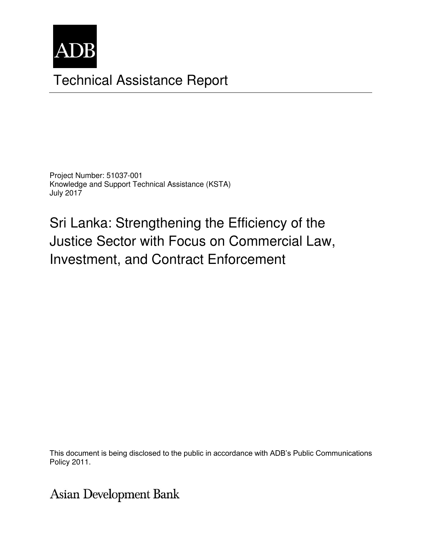

# Technical Assistance Report

Project Number: 51037-001 Knowledge and Support Technical Assistance (KSTA) July 2017

Sri Lanka: Strengthening the Efficiency of the Justice Sector with Focus on Commercial Law, Investment, and Contract Enforcement

This document is being disclosed to the public in accordance with ADB's Public Communications<br>Policy 2011 members, Board of Directors, Management, and may be preliminary in nature. The preliminary in nature. Policy 2011.

**Asian Development Bank**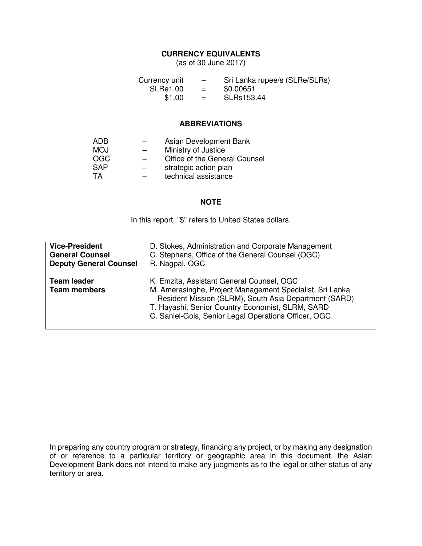#### **CURRENCY EQUIVALENTS**

(as of 30 June 2017)

| Currency unit   | $\overline{\phantom{0}}$ | Sri Lanka rupee/s (SLRe/SLRs) |
|-----------------|--------------------------|-------------------------------|
| <b>SLRe1.00</b> | $=$                      | \$0.00651                     |
| \$1.00          | $=$                      | SLRs153.44                    |

#### **ABBREVIATIONS**

| ADB        | Asian Development Bank        |
|------------|-------------------------------|
| <b>MOJ</b> | Ministry of Justice           |
| OGC        | Office of the General Counsel |
| <b>SAP</b> | strategic action plan         |
| TA         | technical assistance          |

#### **NOTE**

In this report, "\$" refers to United States dollars.

| <b>Vice-President</b>                     | D. Stokes, Administration and Corporate Management                                                                                                                                                                                                                         |  |
|-------------------------------------------|----------------------------------------------------------------------------------------------------------------------------------------------------------------------------------------------------------------------------------------------------------------------------|--|
| <b>General Counsel</b>                    | C. Stephens, Office of the General Counsel (OGC)                                                                                                                                                                                                                           |  |
| <b>Deputy General Counsel</b>             | R. Nagpal, OGC                                                                                                                                                                                                                                                             |  |
| <b>Team leader</b><br><b>Team members</b> | K. Emzita, Assistant General Counsel, OGC<br>M. Amerasinghe, Project Management Specialist, Sri Lanka<br>Resident Mission (SLRM), South Asia Department (SARD)<br>T. Hayashi, Senior Country Economist, SLRM, SARD<br>C. Saniel-Gois, Senior Legal Operations Officer, OGC |  |

In preparing any country program or strategy, financing any project, or by making any designation of or reference to a particular territory or geographic area in this document, the Asian Development Bank does not intend to make any judgments as to the legal or other status of any territory or area.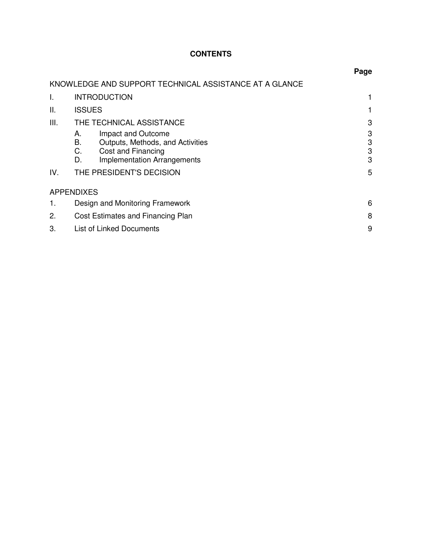# **CONTENTS**

|      |                                                                                                                                            | Page             |
|------|--------------------------------------------------------------------------------------------------------------------------------------------|------------------|
|      | KNOWLEDGE AND SUPPORT TECHNICAL ASSISTANCE AT A GLANCE                                                                                     |                  |
| I.   | <b>INTRODUCTION</b>                                                                                                                        |                  |
| Ш.   | <b>ISSUES</b>                                                                                                                              |                  |
| III. | THE TECHNICAL ASSISTANCE                                                                                                                   | 3                |
|      | Impact and Outcome<br>А.<br>В.<br>Outputs, Methods, and Activities<br>С.<br>Cost and Financing<br><b>Implementation Arrangements</b><br>D. | 3<br>3<br>3<br>3 |
| IV.  | THE PRESIDENT'S DECISION                                                                                                                   | 5                |
|      | <b>APPENDIXES</b>                                                                                                                          |                  |
| 1.   | Design and Monitoring Framework                                                                                                            | 6                |
| 2.   | Cost Estimates and Financing Plan                                                                                                          | 8                |
| 3.   | <b>List of Linked Documents</b>                                                                                                            | 9                |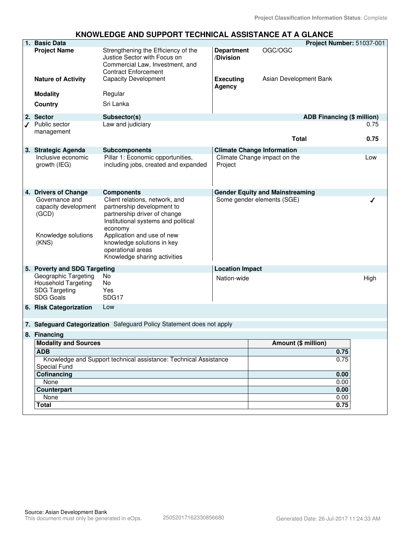#### **KNOWLEDGE AND SUPPORT TECHNICAL ASSISTANCE AT A GLANCE**

| 1. Basic Data<br>Project Number: 51037-001                                                     |                                                                                                                                                                                                                                                                 |                                |                                        |      |
|------------------------------------------------------------------------------------------------|-----------------------------------------------------------------------------------------------------------------------------------------------------------------------------------------------------------------------------------------------------------------|--------------------------------|----------------------------------------|------|
| <b>Project Name</b>                                                                            | Strengthening the Efficiency of the<br>Justice Sector with Focus on<br>Commercial Law, Investment, and<br><b>Contract Enforcement</b>                                                                                                                           | <b>Department</b><br>/Division | OGC/OGC                                |      |
| <b>Nature of Activity</b>                                                                      | <b>Capacity Development</b>                                                                                                                                                                                                                                     | <b>Executing</b><br>Agency     | Asian Development Bank                 |      |
| <b>Modality</b>                                                                                | Regular                                                                                                                                                                                                                                                         |                                |                                        |      |
| Country                                                                                        | Sri Lanka                                                                                                                                                                                                                                                       |                                |                                        |      |
| 2. Sector                                                                                      | Subsector(s)                                                                                                                                                                                                                                                    |                                | <b>ADB Financing (\$ million)</b>      |      |
| Public sector                                                                                  | Law and judiciary                                                                                                                                                                                                                                               |                                |                                        | 0.75 |
| management                                                                                     |                                                                                                                                                                                                                                                                 |                                | <b>Total</b>                           | 0.75 |
| 3. Strategic Agenda                                                                            | <b>Subcomponents</b>                                                                                                                                                                                                                                            |                                | <b>Climate Change Information</b>      |      |
| Inclusive economic<br>growth (IEG)                                                             | Pillar 1: Economic opportunities,<br>including jobs, created and expanded                                                                                                                                                                                       | Project                        | Climate Change impact on the           | Low  |
| 4. Drivers of Change                                                                           | <b>Components</b>                                                                                                                                                                                                                                               |                                | <b>Gender Equity and Mainstreaming</b> |      |
| Governance and<br>capacity development<br>(GCD)<br>Knowledge solutions<br>(KNS)                | Client relations, network, and<br>partnership development to<br>partnership driver of change<br>Institutional systems and political<br>economy<br>Application and use of new<br>knowledge solutions in key<br>operational areas<br>Knowledge sharing activities |                                | Some gender elements (SGE)             |      |
| 5. Poverty and SDG Targeting                                                                   |                                                                                                                                                                                                                                                                 | <b>Location Impact</b>         |                                        |      |
| Geographic Targeting<br><b>Household Targeting</b><br><b>SDG Targeting</b><br><b>SDG Goals</b> | No.<br>No<br>Yes<br>SDG17                                                                                                                                                                                                                                       | Nation-wide                    |                                        | High |
| 6. Risk Categorization                                                                         | Low                                                                                                                                                                                                                                                             |                                |                                        |      |
|                                                                                                | 7. Safeguard Categorization Safeguard Policy Statement does not apply                                                                                                                                                                                           |                                |                                        |      |
| 8. Financing                                                                                   |                                                                                                                                                                                                                                                                 |                                |                                        |      |
| <b>Modality and Sources</b>                                                                    |                                                                                                                                                                                                                                                                 |                                | Amount (\$ million)                    |      |
| <b>ADB</b>                                                                                     |                                                                                                                                                                                                                                                                 |                                | 0.75                                   |      |
| <b>Special Fund</b>                                                                            | Knowledge and Support technical assistance: Technical Assistance                                                                                                                                                                                                |                                | 0.75                                   |      |
| Cofinancing                                                                                    |                                                                                                                                                                                                                                                                 |                                | 0.00                                   |      |
| None                                                                                           |                                                                                                                                                                                                                                                                 |                                | 0.00                                   |      |
| Counterpart<br>None                                                                            |                                                                                                                                                                                                                                                                 |                                | 0.00<br>0.00                           |      |
| <b>Total</b>                                                                                   |                                                                                                                                                                                                                                                                 |                                | 0.75                                   |      |
|                                                                                                |                                                                                                                                                                                                                                                                 |                                |                                        |      |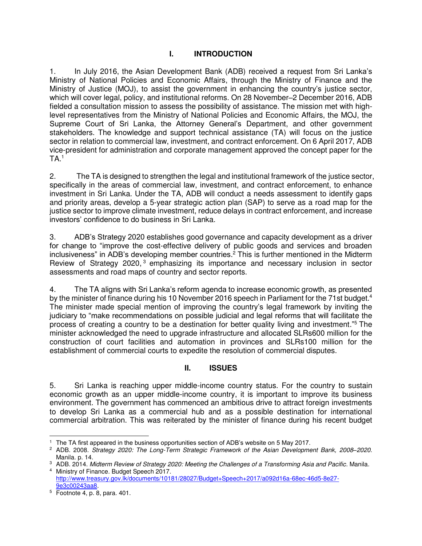# **I. INTRODUCTION**

1. In July 2016, the Asian Development Bank (ADB) received a request from Sri Lanka's Ministry of National Policies and Economic Affairs, through the Ministry of Finance and the Ministry of Justice (MOJ), to assist the government in enhancing the country's justice sector, which will cover legal, policy, and institutional reforms. On 28 November–2 December 2016, ADB fielded a consultation mission to assess the possibility of assistance. The mission met with highlevel representatives from the Ministry of National Policies and Economic Affairs, the MOJ, the Supreme Court of Sri Lanka, the Attorney General's Department, and other government stakeholders. The knowledge and support technical assistance (TA) will focus on the justice sector in relation to commercial law, investment, and contract enforcement. On 6 April 2017, ADB vice-president for administration and corporate management approved the concept paper for the  $TA<sup>1</sup>$ 

2. The TA is designed to strengthen the legal and institutional framework of the justice sector, specifically in the areas of commercial law, investment, and contract enforcement, to enhance investment in Sri Lanka. Under the TA, ADB will conduct a needs assessment to identify gaps and priority areas, develop a 5-year strategic action plan (SAP) to serve as a road map for the justice sector to improve climate investment, reduce delays in contract enforcement, and increase investors' confidence to do business in Sri Lanka.

3. ADB's Strategy 2020 establishes good governance and capacity development as a driver for change to "improve the cost-effective delivery of public goods and services and broaden inclusiveness" in ADB's developing member countries. 2 This is further mentioned in the Midterm Review of Strategy 2020,<sup>3</sup> emphasizing its importance and necessary inclusion in sector assessments and road maps of country and sector reports.

4. The TA aligns with Sri Lanka's reform agenda to increase economic growth, as presented by the minister of finance during his 10 November 2016 speech in Parliament for the 71st budget.<sup>4</sup> The minister made special mention of improving the country's legal framework by inviting the judiciary to "make recommendations on possible judicial and legal reforms that will facilitate the process of creating a country to be a destination for better quality living and investment."<sup>5</sup> The minister acknowledged the need to upgrade infrastructure and allocated SLRs600 million for the construction of court facilities and automation in provinces and SLRs100 million for the establishment of commercial courts to expedite the resolution of commercial disputes.

# **II. ISSUES**

5. Sri Lanka is reaching upper middle-income country status. For the country to sustain economic growth as an upper middle-income country, it is important to improve its business environment. The government has commenced an ambitious drive to attract foreign investments to develop Sri Lanka as a commercial hub and as a possible destination for international commercial arbitration. This was reiterated by the minister of finance during his recent budget

 $\overline{a}$ <sup>1</sup> The TA first appeared in the business opportunities section of ADB's website on 5 May 2017.

<sup>2</sup> ADB. 2008. Strategy 2020: The Long-Term Strategic Framework of the Asian Development Bank, 2008*–*2020. Manila. p. 14.

<sup>3</sup> ADB. 2014. Midterm Review of Strategy 2020: Meeting the Challenges of a Transforming Asia and Pacific. Manila. 4 Ministry of Finance. Budget Speech 2017.

[http://www.treasury.gov.lk/documents/10181/28027/Budget+Speech+2017/a092d16a-68ec-46d5-8e27-](http://www.treasury.gov.lk/documents/10181/28027/Budget+Speech+2017/a092d16a-68ec-46d5-8e27-9e3c00243aa8) [9e3c00243aa8.](http://www.treasury.gov.lk/documents/10181/28027/Budget+Speech+2017/a092d16a-68ec-46d5-8e27-9e3c00243aa8)

<sup>5</sup> Footnote 4, p. 8, para. 401.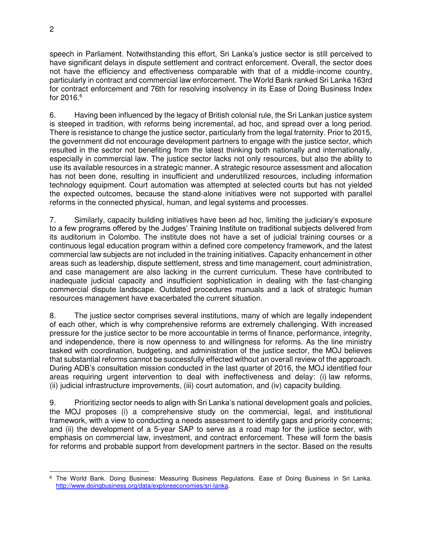speech in Parliament. Notwithstanding this effort, Sri Lanka's justice sector is still perceived to have significant delays in dispute settlement and contract enforcement. Overall, the sector does not have the efficiency and effectiveness comparable with that of a middle-income country, particularly in contract and commercial law enforcement. The World Bank ranked Sri Lanka 163rd for contract enforcement and 76th for resolving insolvency in its Ease of Doing Business Index for  $2016.6$ 

6. Having been influenced by the legacy of British colonial rule, the Sri Lankan justice system is steeped in tradition, with reforms being incremental, ad hoc, and spread over a long period. There is resistance to change the justice sector, particularly from the legal fraternity. Prior to 2015, the government did not encourage development partners to engage with the justice sector, which resulted in the sector not benefiting from the latest thinking both nationally and internationally, especially in commercial law. The justice sector lacks not only resources, but also the ability to use its available resources in a strategic manner. A strategic resource assessment and allocation has not been done, resulting in insufficient and underutilized resources, including information technology equipment. Court automation was attempted at selected courts but has not yielded the expected outcomes, because the stand-alone initiatives were not supported with parallel reforms in the connected physical, human, and legal systems and processes.

7. Similarly, capacity building initiatives have been ad hoc, limiting the judiciary's exposure to a few programs offered by the Judges' Training Institute on traditional subjects delivered from its auditorium in Colombo. The institute does not have a set of judicial training courses or a continuous legal education program within a defined core competency framework, and the latest commercial law subjects are not included in the training initiatives. Capacity enhancement in other areas such as leadership, dispute settlement, stress and time management, court administration, and case management are also lacking in the current curriculum. These have contributed to inadequate judicial capacity and insufficient sophistication in dealing with the fast-changing commercial dispute landscape. Outdated procedures manuals and a lack of strategic human resources management have exacerbated the current situation.

8. The justice sector comprises several institutions, many of which are legally independent of each other, which is why comprehensive reforms are extremely challenging. With increased pressure for the justice sector to be more accountable in terms of finance, performance, integrity, and independence, there is now openness to and willingness for reforms. As the line ministry tasked with coordination, budgeting, and administration of the justice sector, the MOJ believes that substantial reforms cannot be successfully effected without an overall review of the approach. During ADB's consultation mission conducted in the last quarter of 2016, the MOJ identified four areas requiring urgent intervention to deal with ineffectiveness and delay: (i) law reforms, (ii) judicial infrastructure improvements, (iii) court automation, and (iv) capacity building.

9. Prioritizing sector needs to align with Sri Lanka's national development goals and policies, the MOJ proposes (i) a comprehensive study on the commercial, legal, and institutional framework, with a view to conducting a needs assessment to identify gaps and priority concerns; and (ii) the development of a 5-year SAP to serve as a road map for the justice sector, with emphasis on commercial law, investment, and contract enforcement. These will form the basis for reforms and probable support from development partners in the sector. Based on the results

 $\overline{a}$ 6 The World Bank. Doing Business: Measuring Business Regulations. Ease of Doing Business in Sri Lanka. [http://www.doingbusiness.org/data/exploreeconomies/sri-lanka.](http://www.doingbusiness.org/data/exploreeconomies/sri-lanka)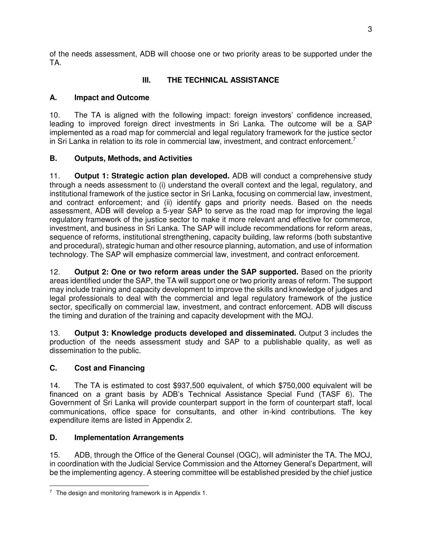of the needs assessment, ADB will choose one or two priority areas to be supported under the TA.

# **III. THE TECHNICAL ASSISTANCE**

# **A. Impact and Outcome**

10. The TA is aligned with the following impact: foreign investors' confidence increased, leading to improved foreign direct investments in Sri Lanka. The outcome will be a SAP implemented as a road map for commercial and legal regulatory framework for the justice sector in Sri Lanka in relation to its role in commercial law, investment, and contract enforcement.<sup>7</sup>

# **B. Outputs, Methods, and Activities**

11. **Output 1: Strategic action plan developed.** ADB will conduct a comprehensive study through a needs assessment to (i) understand the overall context and the legal, regulatory, and institutional framework of the justice sector in Sri Lanka, focusing on commercial law, investment, and contract enforcement; and (ii) identify gaps and priority needs. Based on the needs assessment, ADB will develop a 5-year SAP to serve as the road map for improving the legal regulatory framework of the justice sector to make it more relevant and effective for commerce, investment, and business in Sri Lanka. The SAP will include recommendations for reform areas, sequence of reforms, institutional strengthening, capacity building, law reforms (both substantive and procedural), strategic human and other resource planning, automation, and use of information technology. The SAP will emphasize commercial law, investment, and contract enforcement.

12. **Output 2: One or two reform areas under the SAP supported.** Based on the priority areas identified under the SAP, the TA will support one or two priority areas of reform. The support may include training and capacity development to improve the skills and knowledge of judges and legal professionals to deal with the commercial and legal regulatory framework of the justice sector, specifically on commercial law, investment, and contract enforcement. ADB will discuss the timing and duration of the training and capacity development with the MOJ.

13. **Output 3: Knowledge products developed and disseminated.** Output 3 includes the production of the needs assessment study and SAP to a publishable quality, as well as dissemination to the public.

# **C. Cost and Financing**

14. The TA is estimated to cost \$937,500 equivalent, of which \$750,000 equivalent will be financed on a grant basis by ADB's Technical Assistance Special Fund (TASF 6). The Government of Sri Lanka will provide counterpart support in the form of counterpart staff, local communications, office space for consultants, and other in-kind contributions. The key expenditure items are listed in Appendix 2.

# **D. Implementation Arrangements**

15. ADB, through the Office of the General Counsel (OGC), will administer the TA. The MOJ, in coordination with the Judicial Service Commission and the Attorney General's Department, will be the implementing agency. A steering committee will be established presided by the chief justice

 $\overline{a}$ <sup>7</sup> The design and monitoring framework is in Appendix 1.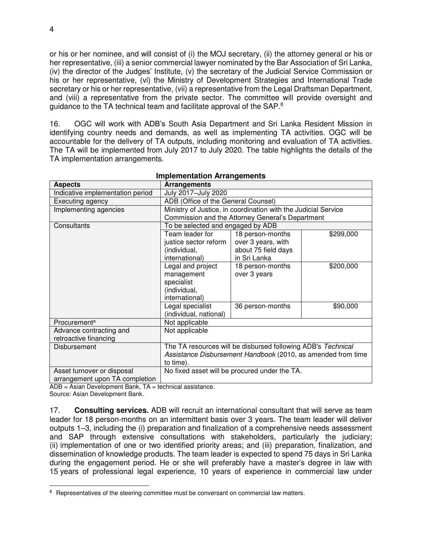or his or her nominee, and will consist of (i) the MOJ secretary, (ii) the attorney general or his or her representative, (iii) a senior commercial lawyer nominated by the Bar Association of Sri Lanka, (iv) the director of the Judges' Institute, (v) the secretary of the Judicial Service Commission or his or her representative, (vi) the Ministry of Development Strategies and International Trade secretary or his or her representative, (vii) a representative from the Legal Draftsman Department, and (viii) a representative from the private sector. The committee will provide oversight and guidance to the TA technical team and facilitate approval of the SAP.<sup>8</sup>

16. OGC will work with ADB's South Asia Department and Sri Lanka Resident Mission in identifying country needs and demands, as well as implementing TA activities. OGC will be accountable for the delivery of TA outputs, including monitoring and evaluation of TA activities. The TA will be implemented from July 2017 to July 2020. The table highlights the details of the TA implementation arrangements.

| <b>Aspects</b>                   | Arrangements                                                 |                                                                |           |  |
|----------------------------------|--------------------------------------------------------------|----------------------------------------------------------------|-----------|--|
| Indicative implementation period | July 2017-July 2020                                          |                                                                |           |  |
| Executing agency                 | ADB (Office of the General Counsel)                          |                                                                |           |  |
| Implementing agencies            |                                                              | Ministry of Justice, in coordination with the Judicial Service |           |  |
|                                  |                                                              | Commission and the Attorney General's Department               |           |  |
| Consultants                      | To be selected and engaged by ADB                            |                                                                |           |  |
|                                  | Team leader for                                              | 18 person-months                                               | \$299,000 |  |
|                                  | justice sector reform                                        | over 3 years, with                                             |           |  |
|                                  | (individual,                                                 | about 75 field days                                            |           |  |
|                                  | international)                                               | in Sri Lanka                                                   |           |  |
|                                  | Legal and project                                            | 18 person-months                                               | \$200,000 |  |
|                                  | management                                                   | over 3 years                                                   |           |  |
|                                  | specialist                                                   |                                                                |           |  |
|                                  | (individual,                                                 |                                                                |           |  |
|                                  | international)                                               |                                                                |           |  |
|                                  | Legal specialist                                             | 36 person-months                                               | \$90,000  |  |
|                                  | (individual, national)                                       |                                                                |           |  |
| Procurement <sup>a</sup>         | Not applicable                                               |                                                                |           |  |
| Advance contracting and          | Not applicable                                               |                                                                |           |  |
| retroactive financing            |                                                              |                                                                |           |  |
| Disbursement                     | The TA resources will be disbursed following ADB's Technical |                                                                |           |  |
|                                  | Assistance Disbursement Handbook (2010, as amended from time |                                                                |           |  |
|                                  | to time).                                                    |                                                                |           |  |
| Asset turnover or disposal       | No fixed asset will be procured under the TA.                |                                                                |           |  |
| arrangement upon TA completion   |                                                              |                                                                |           |  |

#### **Implementation Arrangements**

 $ADB = A<sub>sin</sub> Development Bank, TA = technical assistance.$ 

Source: Asian Development Bank.

 $\overline{a}$ 

17. **Consulting services.** ADB will recruit an international consultant that will serve as team leader for 18 person-months on an intermittent basis over 3 years. The team leader will deliver outputs 1–3, including the (i) preparation and finalization of a comprehensive needs assessment and SAP through extensive consultations with stakeholders, particularly the judiciary; (ii) implementation of one or two identified priority areas; and (iii) preparation, finalization, and dissemination of knowledge products. The team leader is expected to spend 75 days in Sri Lanka during the engagement period. He or she will preferably have a master's degree in law with 15 years of professional legal experience, 10 years of experience in commercial law under

<sup>&</sup>lt;sup>8</sup> Representatives of the steering committee must be conversant on commercial law matters.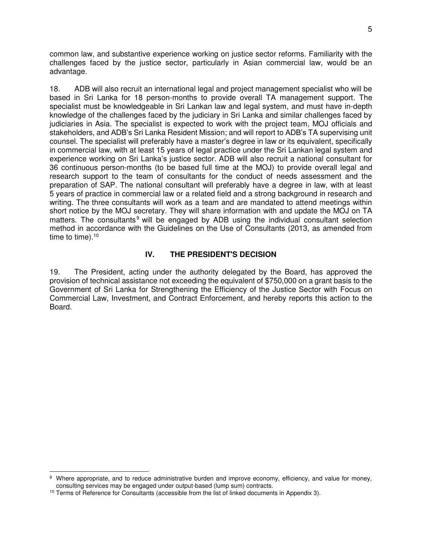common law, and substantive experience working on justice sector reforms. Familiarity with the challenges faced by the justice sector, particularly in Asian commercial law, would be an advantage.

18. ADB will also recruit an international legal and project management specialist who will be based in Sri Lanka for 18 person-months to provide overall TA management support. The specialist must be knowledgeable in Sri Lankan law and legal system, and must have in-depth knowledge of the challenges faced by the judiciary in Sri Lanka and similar challenges faced by judiciaries in Asia. The specialist is expected to work with the project team, MOJ officials and stakeholders, and ADB's Sri Lanka Resident Mission; and will report to ADB's TA supervising unit counsel. The specialist will preferably have a master's degree in law or its equivalent, specifically in commercial law, with at least 15 years of legal practice under the Sri Lankan legal system and experience working on Sri Lanka's justice sector. ADB will also recruit a national consultant for 36 continuous person-months (to be based full time at the MOJ) to provide overall legal and research support to the team of consultants for the conduct of needs assessment and the preparation of SAP. The national consultant will preferably have a degree in law, with at least 5 years of practice in commercial law or a related field and a strong background in research and writing. The three consultants will work as a team and are mandated to attend meetings within short notice by the MOJ secretary. They will share information with and update the MOJ on TA matters. The consultants<sup>9</sup> will be engaged by ADB using the individual consultant selection method in accordance with the Guidelines on the Use of Consultants (2013, as amended from time to time). $10$ 

#### **IV. THE PRESIDENT'S DECISION**

19. The President, acting under the authority delegated by the Board, has approved the provision of technical assistance not exceeding the equivalent of \$750,000 on a grant basis to the Government of Sri Lanka for Strengthening the Efficiency of the Justice Sector with Focus on Commercial Law, Investment, and Contract Enforcement, and hereby reports this action to the Board.

 $\overline{a}$ 

<sup>&</sup>lt;sup>9</sup> Where appropriate, and to reduce administrative burden and improve economy, efficiency, and value for money, consulting services may be engaged under output-based (lump sum) contracts.

<sup>&</sup>lt;sup>10</sup> Terms of Reference for Consultants (accessible from the list of linked documents in Appendix 3).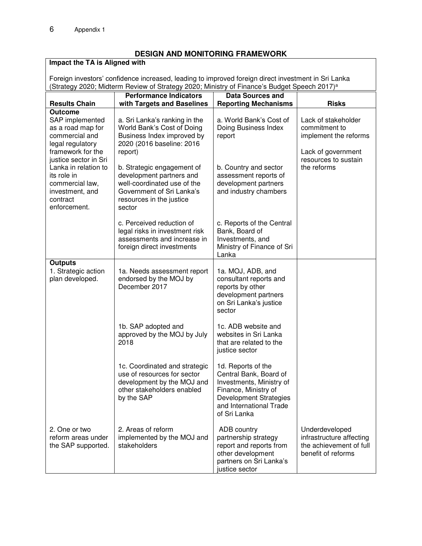#### **DESIGN AND MONITORING FRAMEWORK**

#### **Impact the TA is Aligned with** Foreign investors' confidence increased, leading to improved foreign direct investment in Sri Lanka (Strategy 2020; Midterm Review of Strategy 2020; Ministry of Finance's Budget Speech 2017)<sup>a</sup> **Results Chain Performance Indicators with Targets and Baselines Data Sources and Reporting Mechanisms | Risks Outcome** SAP implemented as a road map for  $\vert$  a. Sri Lanka's ranking in the World Bank's Cost of Doing a. World Bank's Cost of Lack of stakeholder Doing Business Index commitment to

| סאווסוקוווו וחט<br>as a road map for<br>commercial and<br>legal regulatory<br>framework for the                                | a. On Lanna 3 ranning in the<br>World Bank's Cost of Doing<br>Business Index improved by<br>2020 (2016 baseline: 2016<br>report)                         | a. Wulu Dalin ə Ouəl Ul<br>Doing Business Index<br>report                                                                                                                    | Laun υι <b>δια</b> ησπυιασι<br>commitment to<br>implement the reforms<br>Lack of government |
|--------------------------------------------------------------------------------------------------------------------------------|----------------------------------------------------------------------------------------------------------------------------------------------------------|------------------------------------------------------------------------------------------------------------------------------------------------------------------------------|---------------------------------------------------------------------------------------------|
| justice sector in Sri<br>Lanka in relation to<br>its role in<br>commercial law,<br>investment, and<br>contract<br>enforcement. | b. Strategic engagement of<br>development partners and<br>well-coordinated use of the<br>Government of Sri Lanka's<br>resources in the justice<br>sector | b. Country and sector<br>assessment reports of<br>development partners<br>and industry chambers                                                                              | resources to sustain<br>the reforms                                                         |
|                                                                                                                                | c. Perceived reduction of<br>legal risks in investment risk<br>assessments and increase in<br>foreign direct investments                                 | c. Reports of the Central<br>Bank, Board of<br>Investments, and<br>Ministry of Finance of Sri<br>Lanka                                                                       |                                                                                             |
| <b>Outputs</b><br>1. Strategic action<br>plan developed.                                                                       | 1a. Needs assessment report<br>endorsed by the MOJ by<br>December 2017                                                                                   | 1a. MOJ, ADB, and<br>consultant reports and<br>reports by other<br>development partners<br>on Sri Lanka's justice<br>sector                                                  |                                                                                             |
|                                                                                                                                | 1b. SAP adopted and<br>approved by the MOJ by July<br>2018                                                                                               | 1c. ADB website and<br>websites in Sri Lanka<br>that are related to the<br>justice sector                                                                                    |                                                                                             |
|                                                                                                                                | 1c. Coordinated and strategic<br>use of resources for sector<br>development by the MOJ and<br>other stakeholders enabled<br>by the SAP                   | 1d. Reports of the<br>Central Bank, Board of<br>Investments, Ministry of<br>Finance, Ministry of<br><b>Development Strategies</b><br>and International Trade<br>of Sri Lanka |                                                                                             |
| 2. One or two<br>reform areas under<br>the SAP supported.                                                                      | 2. Areas of reform<br>implemented by the MOJ and<br>stakeholders                                                                                         | ADB country<br>partnership strategy<br>report and reports from<br>other development<br>partners on Sri Lanka's<br>justice sector                                             | Underdeveloped<br>infrastructure affecting<br>the achievement of full<br>benefit of reforms |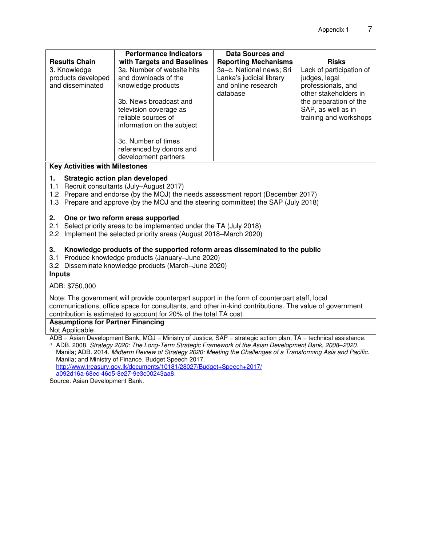|                                                                                                                                    | <b>Performance Indicators</b>                                                                         | <b>Data Sources and</b>     |                                              |  |  |
|------------------------------------------------------------------------------------------------------------------------------------|-------------------------------------------------------------------------------------------------------|-----------------------------|----------------------------------------------|--|--|
| <b>Results Chain</b>                                                                                                               | with Targets and Baselines                                                                            | <b>Reporting Mechanisms</b> | <b>Risks</b>                                 |  |  |
| 3. Knowledge                                                                                                                       | 3a. Number of website hits                                                                            | 3a-c. National news; Sri    | Lack of participation of                     |  |  |
| products developed                                                                                                                 | and downloads of the                                                                                  | Lanka's judicial library    | judges, legal                                |  |  |
| and disseminated                                                                                                                   | knowledge products                                                                                    | and online research         | professionals, and                           |  |  |
|                                                                                                                                    |                                                                                                       | database                    | other stakeholders in                        |  |  |
|                                                                                                                                    | 3b. News broadcast and                                                                                |                             | the preparation of the                       |  |  |
|                                                                                                                                    | television coverage as<br>reliable sources of                                                         |                             | SAP, as well as in<br>training and workshops |  |  |
|                                                                                                                                    | information on the subject                                                                            |                             |                                              |  |  |
|                                                                                                                                    |                                                                                                       |                             |                                              |  |  |
|                                                                                                                                    | 3c. Number of times                                                                                   |                             |                                              |  |  |
|                                                                                                                                    | referenced by donors and                                                                              |                             |                                              |  |  |
|                                                                                                                                    | development partners                                                                                  |                             |                                              |  |  |
| <b>Key Activities with Milestones</b>                                                                                              |                                                                                                       |                             |                                              |  |  |
| 1.                                                                                                                                 | Strategic action plan developed                                                                       |                             |                                              |  |  |
| 1.1                                                                                                                                | Recruit consultants (July-August 2017)                                                                |                             |                                              |  |  |
|                                                                                                                                    | 1.2 Prepare and endorse (by the MOJ) the needs assessment report (December 2017)                      |                             |                                              |  |  |
|                                                                                                                                    | 1.3 Prepare and approve (by the MOJ and the steering committee) the SAP (July 2018)                   |                             |                                              |  |  |
| 2.                                                                                                                                 | One or two reform areas supported                                                                     |                             |                                              |  |  |
| 2.1                                                                                                                                | Select priority areas to be implemented under the TA (July 2018)                                      |                             |                                              |  |  |
| 2.2                                                                                                                                | Implement the selected priority areas (August 2018–March 2020)                                        |                             |                                              |  |  |
|                                                                                                                                    |                                                                                                       |                             |                                              |  |  |
| 3.                                                                                                                                 | Knowledge products of the supported reform areas disseminated to the public                           |                             |                                              |  |  |
| 3.1                                                                                                                                | Produce knowledge products (January-June 2020)                                                        |                             |                                              |  |  |
| 3.2                                                                                                                                | Disseminate knowledge products (March-June 2020)                                                      |                             |                                              |  |  |
| <b>Inputs</b>                                                                                                                      |                                                                                                       |                             |                                              |  |  |
| ADB: \$750,000                                                                                                                     |                                                                                                       |                             |                                              |  |  |
| Note: The government will provide counterpart support in the form of counterpart staff, local                                      |                                                                                                       |                             |                                              |  |  |
| communications, office space for consultants, and other in-kind contributions. The value of government                             |                                                                                                       |                             |                                              |  |  |
| contribution is estimated to account for 20% of the total TA cost.                                                                 |                                                                                                       |                             |                                              |  |  |
| <b>Assumptions for Partner Financing</b>                                                                                           |                                                                                                       |                             |                                              |  |  |
| Not Applicable<br>ADB = Asian Development Bank, MOJ = Ministry of Justice, SAP = strategic action plan, TA = technical assistance. |                                                                                                       |                             |                                              |  |  |
| a                                                                                                                                  | ADB. 2008. Strategy 2020: The Long-Term Strategic Framework of the Asian Development Bank, 2008-2020. |                             |                                              |  |  |
| Manila; ADB. 2014. Midterm Review of Strategy 2020: Meeting the Challenges of a Transforming Asia and Pacific.                     |                                                                                                       |                             |                                              |  |  |
|                                                                                                                                    | Manila; and Ministry of Finance. Budget Speech 2017.                                                  |                             |                                              |  |  |
|                                                                                                                                    | http://www.treasury.gov.lk/documents/10181/28027/Budget+Speech+2017/                                  |                             |                                              |  |  |

[http://www.treasury.gov.lk/documents/10181/28027/Budget+Speech+2017/](http://www.treasury.gov.lk/documents/10181/28027/Budget+Speech+2017/a092d16a-68ec-46d5-8e27-9e3c00243aa8)  [a092d16a-68ec-46d5-8e27-9e3c00243aa8.](http://www.treasury.gov.lk/documents/10181/28027/Budget+Speech+2017/a092d16a-68ec-46d5-8e27-9e3c00243aa8)

Source: Asian Development Bank.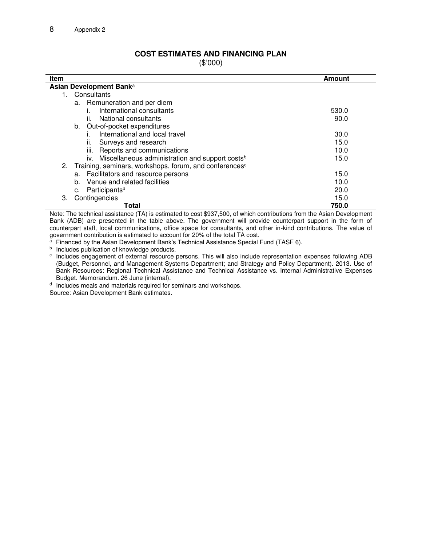#### **COST ESTIMATES AND FINANCING PLAN**

(\$'000)

| Item                                                                  | Amount |
|-----------------------------------------------------------------------|--------|
| Asian Development Bank <sup>a</sup>                                   |        |
| 1. Consultants                                                        |        |
| a. Remuneration and per diem                                          |        |
| International consultants                                             | 530.0  |
| National consultants<br>II.                                           | 90.0   |
| Out-of-pocket expenditures<br>b.                                      |        |
| International and local travel                                        | 30.0   |
| Surveys and research<br>ii.                                           | 15.0   |
| iii. Reports and communications                                       | 10.0   |
| iv. Miscellaneous administration and support costs <sup>b</sup>       | 15.0   |
| 2. Training, seminars, workshops, forum, and conferences <sup>c</sup> |        |
| Facilitators and resource persons<br>а.                               | 15.0   |
| Venue and related facilities<br>b.                                    | 10.0   |
| Participants <sup>d</sup><br>c.                                       | 20.0   |
| Contingencies<br>3.                                                   | 15.0   |
| Total                                                                 | 750.0  |

Note: The technical assistance (TA) is estimated to cost \$937,500, of which contributions from the Asian Development Bank (ADB) are presented in the table above. The government will provide counterpart support in the form of counterpart staff, local communications, office space for consultants, and other in-kind contributions. The value of government contribution is estimated to account for 20% of the total TA cost.

 $a$  Financed by the Asian Development Bank's Technical Assistance Special Fund (TASF 6).

**b** Includes publication of knowledge products.

<sup>c</sup> Includes engagement of external resource persons. This will also include representation expenses following ADB (Budget, Personnel, and Management Systems Department; and Strategy and Policy Department). 2013. Use of Bank Resources: Regional Technical Assistance and Technical Assistance vs. Internal Administrative Expenses Budget. Memorandum. 26 June (internal).

<sup>d</sup> Includes meals and materials required for seminars and workshops.

Source: Asian Development Bank estimates.